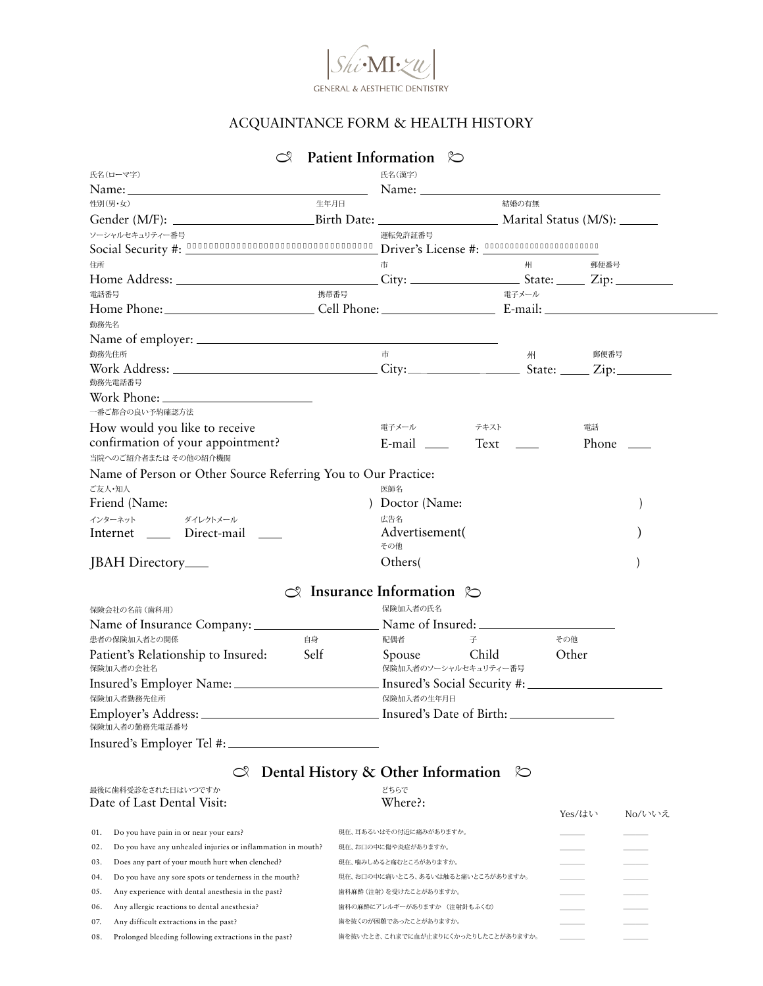

## ACQUAINTANCE FORM & HEALTH HISTORY

## Name: Name: Gender (M/F): Birth Date: Marital Status (M/S): Social Security #: Driver's License #: 社会保険番号は記入していただくか電話にてお伝えいただきたく存じます。 運転免許証番号は記入していただくか電話にてお伝えいただきたく存じます。Home Address: City: City: State: Zip: Work Address: State: <u>Cip:</u> Home Phone: Cell Phone: Cell Phone: E-mail: E-mail Internet JBAH Directory <sub>-</sub> Direct-mail \_ Text <u>Queen Phone</u> How would you like to receive confirmation of your appointment? Name of Person or Other Source Referring You to Our Practice: Friend (Name: ) Doctor (Name: Advertisement( ) Others( ) Friend (Name: ) Doctor (Name: ) ) Doctor (Name: ) ) (Doctor (Name: ) ) Name of employer: Work Phone: Name of Insurance Company: Name of Insured: Patient's Relationship to Insured: Self Spouse Child Other Insured's Employer Name: Insured's Social Security #: Employer's Address: Insured's Date of Birth: Insured's Employer Tel #:  $\heartsuit$  Patient Information  $\heartsuit$ 氏名(ローマ字) 性別(男・女) 住所 電話番号 勤務先電話番号 広告名 その他 ご友人・知人 みんじょう しょうしょう しゅうしょう こうしゅう あいじゅん 医師名 インターネット 保険会社の名前(歯科用) 患者の保険加入者との関係 おおし おおし おおし 自身 おんだ 配偶者 こうそう 子 こうその他 保険加入者の会社名 そうごう しょうしゃ しゅうしゃ はんしゃ 保険加入者のソーシャルセキュリティー番号 保険加入者勤務先住所 保険加入者の生年月日 保険加入者の勤務先電話番号 保険加入者の氏名 ダイレクトメール 一番ご都合の良い予約確認方法 当院へのご紹介者または その他の紹介機関 勤務先名 勤務先住所 携帯番号 まんない おおしい おおし おおし 電子メール 電子メール テキスト 電話 市 市 郵便番号 郵便番号 州 州 ソーシャルセキュリティー番号 ファイン・ファイン アイスト こうしゃ アイスト いっぽ 運転免許証番号 生年月日 結婚の有無 氏名(漢字)  $\infty$  Insurance Information  $\infty$

## **C** Dental History & Other Information  $\infty$

| 最後に歯科受診をされた日はいつですか<br>Date of Last Dental Visit: |                                                             | どちらで<br>Where?:                     | Yes/はい | No/いいえ |
|--------------------------------------------------|-------------------------------------------------------------|-------------------------------------|--------|--------|
| 01.                                              | Do you have pain in or near your ears?                      | 現在、耳あるいはその付近に痛みがありますか。              |        |        |
| 02.                                              | Do you have any unhealed injuries or inflammation in mouth? | 現在、お口の中に傷や炎症がありますか。                 |        |        |
| 03.                                              | Does any part of your mouth hurt when clenched?             | 現在、噛みしめると痛むところがありますか。               |        |        |
| 04.                                              | Do you have any sore spots or tenderness in the mouth?      | 現在、お口の中に痛いところ、あるいは触ると痛いところがありますか。   |        |        |
| 05.                                              | Any experience with dental anesthesia in the past?          | 歯科麻酔 (注射) を受けたことがありますか。             |        |        |
| 06.                                              | Any allergic reactions to dental anesthesia?                | 歯科の麻酔にアレルギーがありますか (注射針もふくむ)         |        |        |
| 07.                                              | Any difficult extractions in the past?                      | 歯を抜くのが困難であったことがありますか。               |        |        |
| 08.                                              | Prolonged bleeding following extractions in the past?       | 歯を抜いたとき、これまでに血が止まりにくかったりしたことがありますか。 |        |        |
|                                                  |                                                             |                                     |        |        |